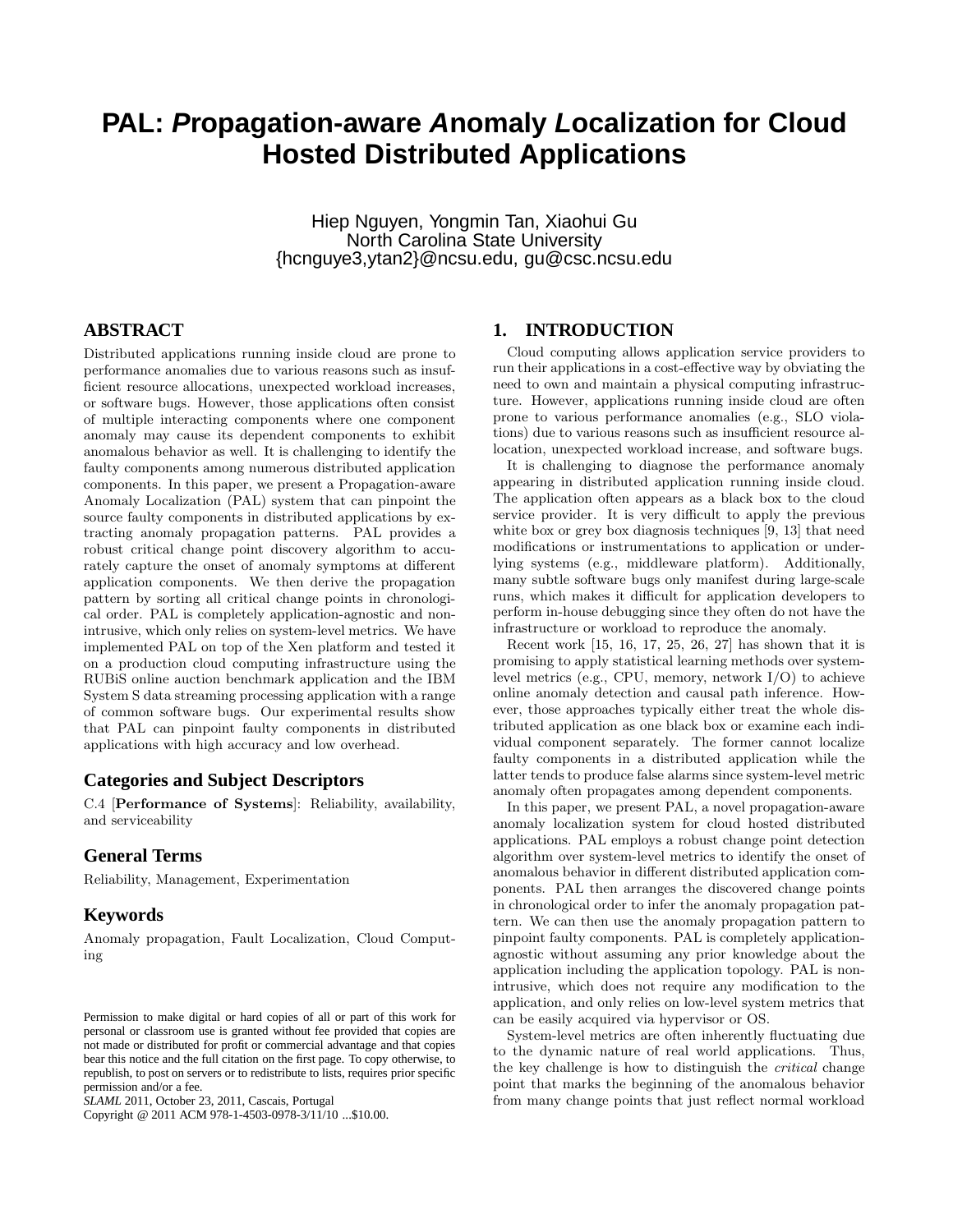# **PAL: Propagation-aware Anomaly Localization for Cloud Hosted Distributed Applications**

Hiep Nguyen, Yongmin Tan, Xiaohui Gu North Carolina State University {hcnguye3,ytan2}@ncsu.edu, gu@csc.ncsu.edu

# **ABSTRACT**

Distributed applications running inside cloud are prone to performance anomalies due to various reasons such as insufficient resource allocations, unexpected workload increases, or software bugs. However, those applications often consist of multiple interacting components where one component anomaly may cause its dependent components to exhibit anomalous behavior as well. It is challenging to identify the faulty components among numerous distributed application components. In this paper, we present a Propagation-aware Anomaly Localization (PAL) system that can pinpoint the source faulty components in distributed applications by extracting anomaly propagation patterns. PAL provides a robust critical change point discovery algorithm to accurately capture the onset of anomaly symptoms at different application components. We then derive the propagation pattern by sorting all critical change points in chronological order. PAL is completely application-agnostic and nonintrusive, which only relies on system-level metrics. We have implemented PAL on top of the Xen platform and tested it on a production cloud computing infrastructure using the RUBiS online auction benchmark application and the IBM System S data streaming processing application with a range of common software bugs. Our experimental results show that PAL can pinpoint faulty components in distributed applications with high accuracy and low overhead.

## **Categories and Subject Descriptors**

C.4 [Performance of Systems]: Reliability, availability, and serviceability

# **General Terms**

Reliability, Management, Experimentation

# **Keywords**

Anomaly propagation, Fault Localization, Cloud Computing

Copyright @ 2011 ACM 978-1-4503-0978-3/11/10 ...\$10.00.

# **1. INTRODUCTION**

Cloud computing allows application service providers to run their applications in a cost-effective way by obviating the need to own and maintain a physical computing infrastructure. However, applications running inside cloud are often prone to various performance anomalies (e.g., SLO violations) due to various reasons such as insufficient resource allocation, unexpected workload increase, and software bugs.

It is challenging to diagnose the performance anomaly appearing in distributed application running inside cloud. The application often appears as a black box to the cloud service provider. It is very difficult to apply the previous white box or grey box diagnosis techniques [9, 13] that need modifications or instrumentations to application or underlying systems (e.g., middleware platform). Additionally, many subtle software bugs only manifest during large-scale runs, which makes it difficult for application developers to perform in-house debugging since they often do not have the infrastructure or workload to reproduce the anomaly.

Recent work [15, 16, 17, 25, 26, 27] has shown that it is promising to apply statistical learning methods over systemlevel metrics (e.g., CPU, memory, network I/O) to achieve online anomaly detection and causal path inference. However, those approaches typically either treat the whole distributed application as one black box or examine each individual component separately. The former cannot localize faulty components in a distributed application while the latter tends to produce false alarms since system-level metric anomaly often propagates among dependent components.

In this paper, we present PAL, a novel propagation-aware anomaly localization system for cloud hosted distributed applications. PAL employs a robust change point detection algorithm over system-level metrics to identify the onset of anomalous behavior in different distributed application components. PAL then arranges the discovered change points in chronological order to infer the anomaly propagation pattern. We can then use the anomaly propagation pattern to pinpoint faulty components. PAL is completely applicationagnostic without assuming any prior knowledge about the application including the application topology. PAL is nonintrusive, which does not require any modification to the application, and only relies on low-level system metrics that can be easily acquired via hypervisor or OS.

System-level metrics are often inherently fluctuating due to the dynamic nature of real world applications. Thus, the key challenge is how to distinguish the *critical* change point that marks the beginning of the anomalous behavior from many change points that just reflect normal workload

Permission to make digital or hard copies of all or part of this work for personal or classroom use is granted without fee provided that copies are not made or distributed for profit or commercial advantage and that copies bear this notice and the full citation on the first page. To copy otherwise, to republish, to post on servers or to redistribute to lists, requires prior specific permission and/or a fee.

*SLAML* 2011, October 23, 2011, Cascais, Portugal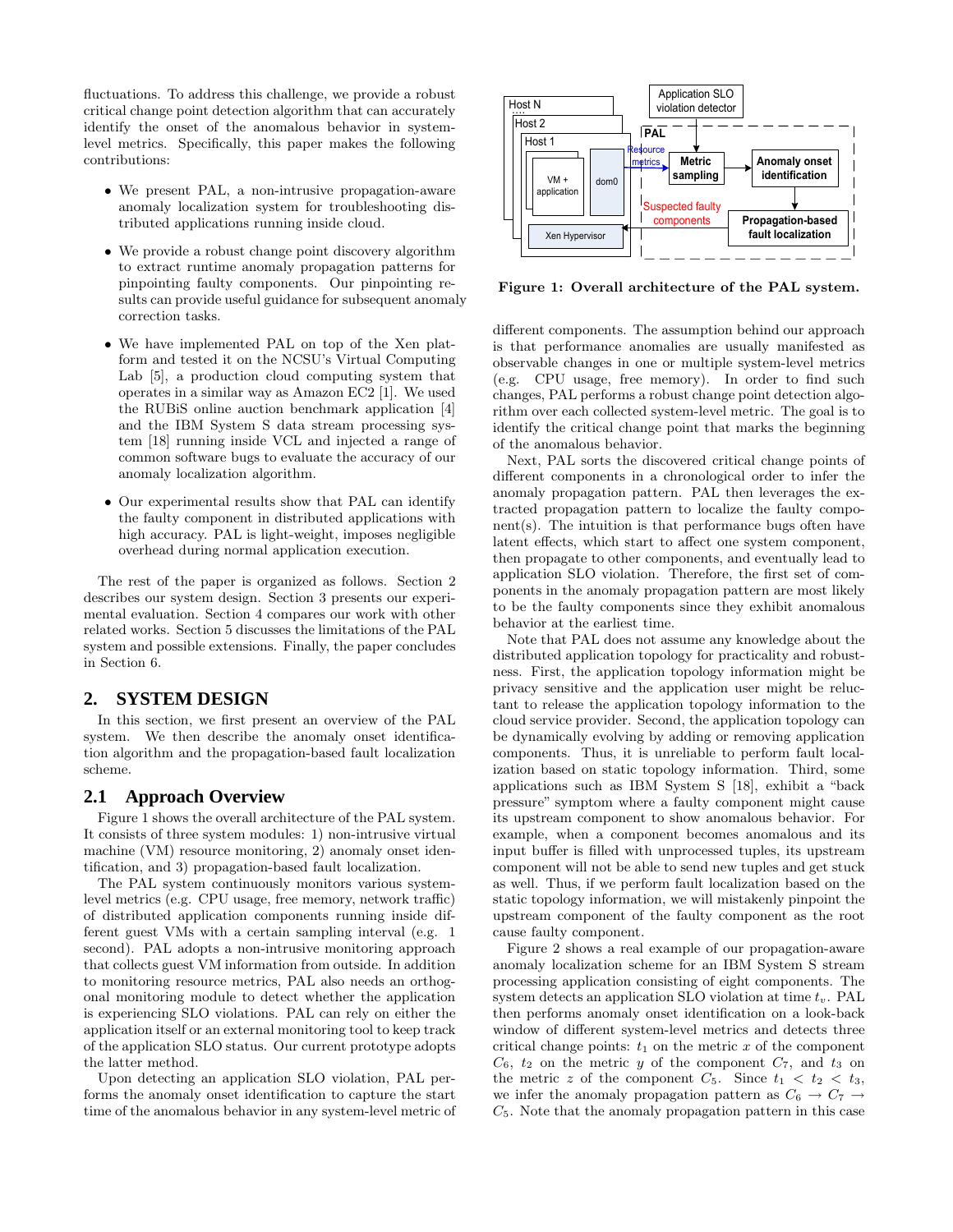fluctuations. To address this challenge, we provide a robust critical change point detection algorithm that can accurately identify the onset of the anomalous behavior in systemlevel metrics. Specifically, this paper makes the following contributions:

- We present PAL, a non-intrusive propagation-aware anomaly localization system for troubleshooting distributed applications running inside cloud.
- We provide a robust change point discovery algorithm to extract runtime anomaly propagation patterns for pinpointing faulty components. Our pinpointing results can provide useful guidance for subsequent anomaly correction tasks.
- We have implemented PAL on top of the Xen platform and tested it on the NCSU's Virtual Computing Lab [5], a production cloud computing system that operates in a similar way as Amazon EC2 [1]. We used the RUBiS online auction benchmark application [4] and the IBM System S data stream processing system [18] running inside VCL and injected a range of common software bugs to evaluate the accuracy of our anomaly localization algorithm.
- Our experimental results show that PAL can identify the faulty component in distributed applications with high accuracy. PAL is light-weight, imposes negligible overhead during normal application execution.

The rest of the paper is organized as follows. Section 2 describes our system design. Section 3 presents our experimental evaluation. Section 4 compares our work with other related works. Section 5 discusses the limitations of the PAL system and possible extensions. Finally, the paper concludes in Section 6.

## **2. SYSTEM DESIGN**

In this section, we first present an overview of the PAL system. We then describe the anomaly onset identification algorithm and the propagation-based fault localization scheme.

## **2.1 Approach Overview**

Figure 1 shows the overall architecture of the PAL system. It consists of three system modules: 1) non-intrusive virtual machine (VM) resource monitoring, 2) anomaly onset identification, and 3) propagation-based fault localization.

The PAL system continuously monitors various systemlevel metrics (e.g. CPU usage, free memory, network traffic) of distributed application components running inside different guest VMs with a certain sampling interval (e.g. 1 second). PAL adopts a non-intrusive monitoring approach that collects guest VM information from outside. In addition to monitoring resource metrics, PAL also needs an orthogonal monitoring module to detect whether the application is experiencing SLO violations. PAL can rely on either the application itself or an external monitoring tool to keep track of the application SLO status. Our current prototype adopts the latter method.

Upon detecting an application SLO violation, PAL performs the anomaly onset identification to capture the start time of the anomalous behavior in any system-level metric of



Figure 1: Overall architecture of the PAL system.

different components. The assumption behind our approach is that performance anomalies are usually manifested as observable changes in one or multiple system-level metrics (e.g. CPU usage, free memory). In order to find such changes, PAL performs a robust change point detection algorithm over each collected system-level metric. The goal is to identify the critical change point that marks the beginning of the anomalous behavior.

Next, PAL sorts the discovered critical change points of different components in a chronological order to infer the anomaly propagation pattern. PAL then leverages the extracted propagation pattern to localize the faulty component(s). The intuition is that performance bugs often have latent effects, which start to affect one system component, then propagate to other components, and eventually lead to application SLO violation. Therefore, the first set of components in the anomaly propagation pattern are most likely to be the faulty components since they exhibit anomalous behavior at the earliest time.

Note that PAL does not assume any knowledge about the distributed application topology for practicality and robustness. First, the application topology information might be privacy sensitive and the application user might be reluctant to release the application topology information to the cloud service provider. Second, the application topology can be dynamically evolving by adding or removing application components. Thus, it is unreliable to perform fault localization based on static topology information. Third, some applications such as IBM System S [18], exhibit a "back pressure" symptom where a faulty component might cause its upstream component to show anomalous behavior. For example, when a component becomes anomalous and its input buffer is filled with unprocessed tuples, its upstream component will not be able to send new tuples and get stuck as well. Thus, if we perform fault localization based on the static topology information, we will mistakenly pinpoint the upstream component of the faulty component as the root cause faulty component.

Figure 2 shows a real example of our propagation-aware anomaly localization scheme for an IBM System S stream processing application consisting of eight components. The system detects an application SLO violation at time  $t_v$ . PAL then performs anomaly onset identification on a look-back window of different system-level metrics and detects three critical change points:  $t_1$  on the metric x of the component  $C_6$ ,  $t_2$  on the metric y of the component  $C_7$ , and  $t_3$  on the metric z of the component  $C_5$ . Since  $t_1 < t_2 < t_3$ , we infer the anomaly propagation pattern as  $C_6 \rightarrow C_7 \rightarrow$  $C<sub>5</sub>$ . Note that the anomaly propagation pattern in this case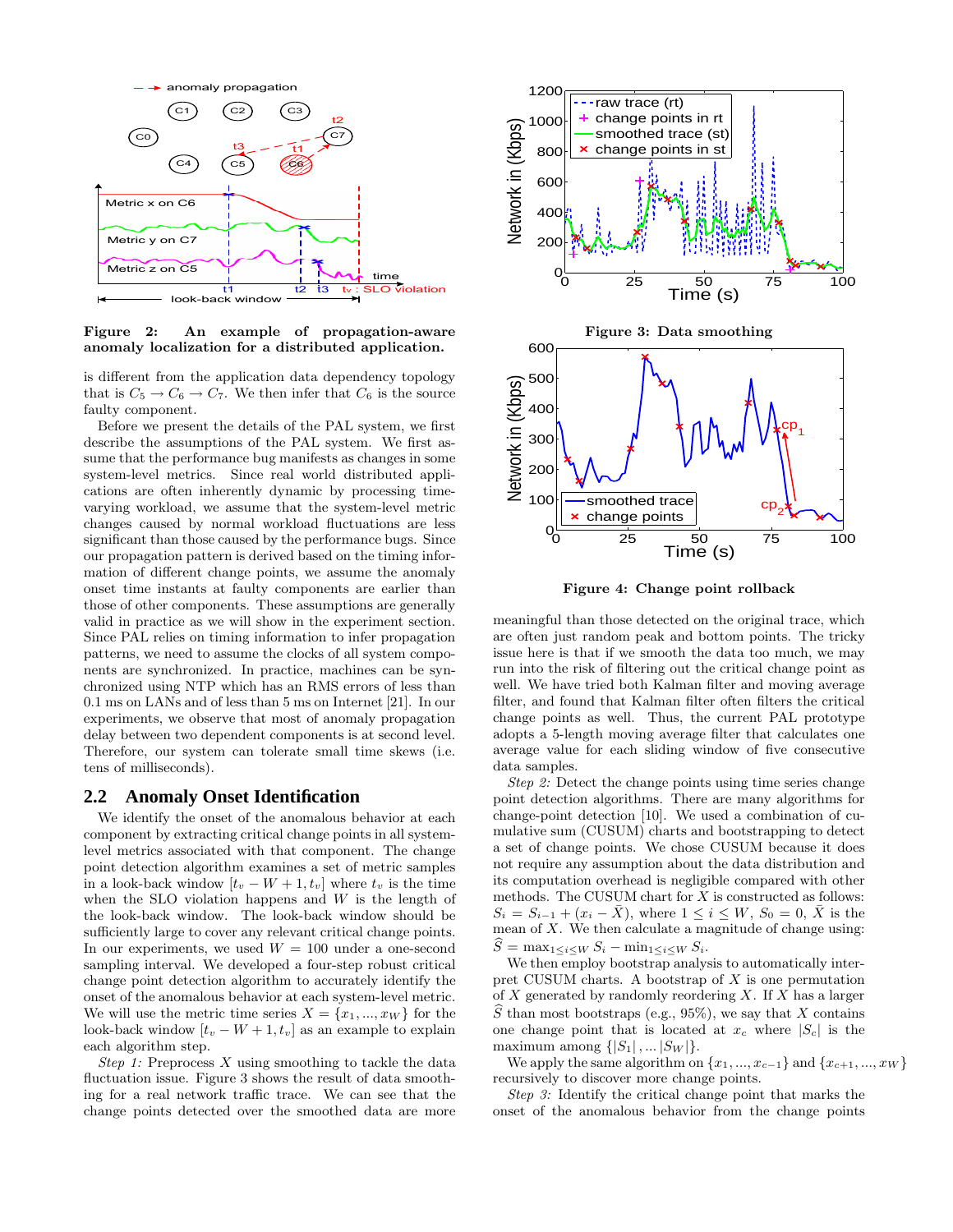

Figure 2: An example of propagation-aware anomaly localization for a distributed application.

is different from the application data dependency topology that is  $C_5 \rightarrow C_6 \rightarrow C_7$ . We then infer that  $C_6$  is the source faulty component.

Before we present the details of the PAL system, we first describe the assumptions of the PAL system. We first assume that the performance bug manifests as changes in some system-level metrics. Since real world distributed applications are often inherently dynamic by processing timevarying workload, we assume that the system-level metric changes caused by normal workload fluctuations are less significant than those caused by the performance bugs. Since our propagation pattern is derived based on the timing information of different change points, we assume the anomaly onset time instants at faulty components are earlier than those of other components. These assumptions are generally valid in practice as we will show in the experiment section. Since PAL relies on timing information to infer propagation patterns, we need to assume the clocks of all system components are synchronized. In practice, machines can be synchronized using NTP which has an RMS errors of less than 0.1 ms on LANs and of less than 5 ms on Internet [21]. In our experiments, we observe that most of anomaly propagation delay between two dependent components is at second level. Therefore, our system can tolerate small time skews (i.e. tens of milliseconds).

## **2.2 Anomaly Onset Identification**

We identify the onset of the anomalous behavior at each component by extracting critical change points in all systemlevel metrics associated with that component. The change point detection algorithm examines a set of metric samples in a look-back window  $[t_v - W + 1, t_v]$  where  $t_v$  is the time when the SLO violation happens and  $W$  is the length of the look-back window. The look-back window should be sufficiently large to cover any relevant critical change points. In our experiments, we used  $W = 100$  under a one-second sampling interval. We developed a four-step robust critical change point detection algorithm to accurately identify the onset of the anomalous behavior at each system-level metric. We will use the metric time series  $X = \{x_1, ..., x_W\}$  for the look-back window  $[t_v - W + 1, t_v]$  as an example to explain each algorithm step.

*Step 1:* Preprocess X using smoothing to tackle the data fluctuation issue. Figure 3 shows the result of data smoothing for a real network traffic trace. We can see that the change points detected over the smoothed data are more



Figure 4: Change point rollback

meaningful than those detected on the original trace, which are often just random peak and bottom points. The tricky issue here is that if we smooth the data too much, we may run into the risk of filtering out the critical change point as well. We have tried both Kalman filter and moving average filter, and found that Kalman filter often filters the critical change points as well. Thus, the current PAL prototype adopts a 5-length moving average filter that calculates one average value for each sliding window of five consecutive data samples.

*Step 2:* Detect the change points using time series change point detection algorithms. There are many algorithms for change-point detection [10]. We used a combination of cumulative sum (CUSUM) charts and bootstrapping to detect a set of change points. We chose CUSUM because it does not require any assumption about the data distribution and its computation overhead is negligible compared with other methods. The CUSUM chart for  $X$  is constructed as follows:  $S_i = S_{i-1} + (x_i - \bar{X})$ , where  $1 \leq i \leq W$ ,  $S_0 = 0$ ,  $\bar{X}$  is the mean of  $X$ . We then calculate a magnitude of change using:  $S = \max_{1 \leq i \leq W} S_i - \min_{1 \leq i \leq W} S_i.$ 

We then employ bootstrap analysis to automatically interpret CUSUM charts. A bootstrap of  $X$  is one permutation of  $X$  generated by randomly reordering  $X$ . If  $X$  has a larger S than most bootstraps (e.g., 95%), we say that X contains one change point that is located at  $x_c$  where  $|S_c|$  is the maximum among  $\{|S_1|, \dots |S_W|\}.$ 

We apply the same algorithm on  $\{x_1, ..., x_{c-1}\}\$  and  $\{x_{c+1}, ..., x_W\}$ recursively to discover more change points.

*Step 3:* Identify the critical change point that marks the onset of the anomalous behavior from the change points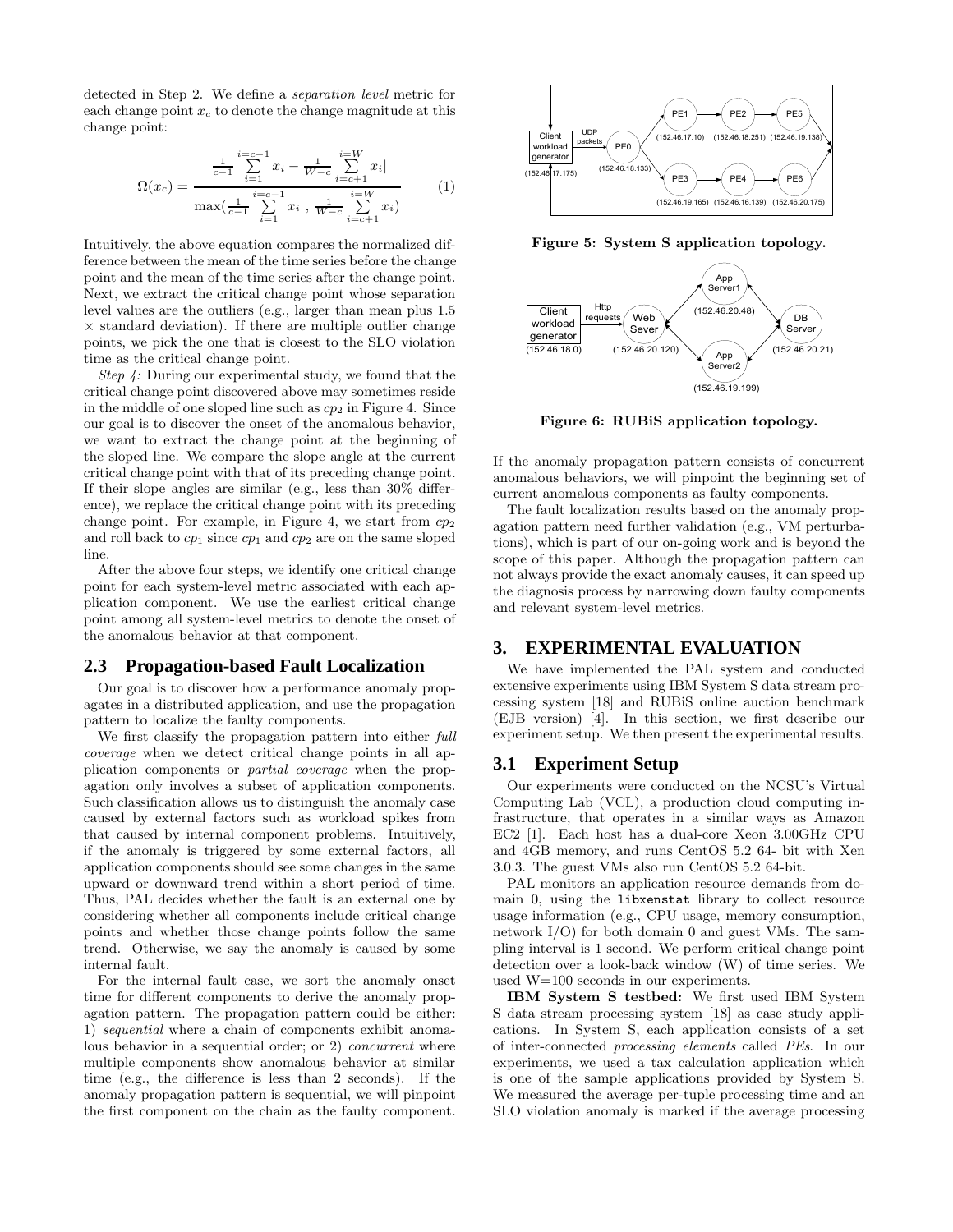detected in Step 2. We define a *separation level* metric for each change point  $x_c$  to denote the change magnitude at this change point:

$$
\Omega(x_c) = \frac{\left|\frac{1}{c-1}\sum_{i=1}^{i=c-1}x_i - \frac{1}{W-c}\sum_{i=c+1}^{i=W}x_i\right|}{\max\left(\frac{1}{c-1}\sum_{i=1}^{i=c-1}x_i, \frac{1}{W-c}\sum_{i=c+1}^{i=W}x_i\right)}
$$
(1)

Intuitively, the above equation compares the normalized difference between the mean of the time series before the change point and the mean of the time series after the change point. Next, we extract the critical change point whose separation level values are the outliers (e.g., larger than mean plus 1.5  $\times$  standard deviation). If there are multiple outlier change points, we pick the one that is closest to the SLO violation time as the critical change point.

*Step 4:* During our experimental study, we found that the critical change point discovered above may sometimes reside in the middle of one sloped line such as  $cp<sub>2</sub>$  in Figure 4. Since our goal is to discover the onset of the anomalous behavior, we want to extract the change point at the beginning of the sloped line. We compare the slope angle at the current critical change point with that of its preceding change point. If their slope angles are similar (e.g., less than 30% difference), we replace the critical change point with its preceding change point. For example, in Figure 4, we start from  $cp<sub>2</sub>$ and roll back to  $cp_1$  since  $cp_1$  and  $cp_2$  are on the same sloped line.

After the above four steps, we identify one critical change point for each system-level metric associated with each application component. We use the earliest critical change point among all system-level metrics to denote the onset of the anomalous behavior at that component.

#### **2.3 Propagation-based Fault Localization**

Our goal is to discover how a performance anomaly propagates in a distributed application, and use the propagation pattern to localize the faulty components.

We first classify the propagation pattern into either *full coverage* when we detect critical change points in all application components or *partial coverage* when the propagation only involves a subset of application components. Such classification allows us to distinguish the anomaly case caused by external factors such as workload spikes from that caused by internal component problems. Intuitively, if the anomaly is triggered by some external factors, all application components should see some changes in the same upward or downward trend within a short period of time. Thus, PAL decides whether the fault is an external one by considering whether all components include critical change points and whether those change points follow the same trend. Otherwise, we say the anomaly is caused by some internal fault.

For the internal fault case, we sort the anomaly onset time for different components to derive the anomaly propagation pattern. The propagation pattern could be either: 1) *sequential* where a chain of components exhibit anomalous behavior in a sequential order; or 2) *concurrent* where multiple components show anomalous behavior at similar time (e.g., the difference is less than 2 seconds). If the anomaly propagation pattern is sequential, we will pinpoint the first component on the chain as the faulty component.



Figure 5: System S application topology.



Figure 6: RUBiS application topology.

If the anomaly propagation pattern consists of concurrent anomalous behaviors, we will pinpoint the beginning set of current anomalous components as faulty components.

The fault localization results based on the anomaly propagation pattern need further validation (e.g., VM perturbations), which is part of our on-going work and is beyond the scope of this paper. Although the propagation pattern can not always provide the exact anomaly causes, it can speed up the diagnosis process by narrowing down faulty components and relevant system-level metrics.

#### **3. EXPERIMENTAL EVALUATION**

We have implemented the PAL system and conducted extensive experiments using IBM System S data stream processing system [18] and RUBiS online auction benchmark (EJB version) [4]. In this section, we first describe our experiment setup. We then present the experimental results.

## **3.1 Experiment Setup**

Our experiments were conducted on the NCSU's Virtual Computing Lab (VCL), a production cloud computing infrastructure, that operates in a similar ways as Amazon EC2 [1]. Each host has a dual-core Xeon 3.00GHz CPU and 4GB memory, and runs CentOS 5.2 64- bit with Xen 3.0.3. The guest VMs also run CentOS 5.2 64-bit.

PAL monitors an application resource demands from domain 0, using the libxenstat library to collect resource usage information (e.g., CPU usage, memory consumption, network I/O) for both domain 0 and guest VMs. The sampling interval is 1 second. We perform critical change point detection over a look-back window (W) of time series. We used W=100 seconds in our experiments.

IBM System S testbed: We first used IBM System S data stream processing system [18] as case study applications. In System S, each application consists of a set of inter-connected *processing elements* called *PEs*. In our experiments, we used a tax calculation application which is one of the sample applications provided by System S. We measured the average per-tuple processing time and an SLO violation anomaly is marked if the average processing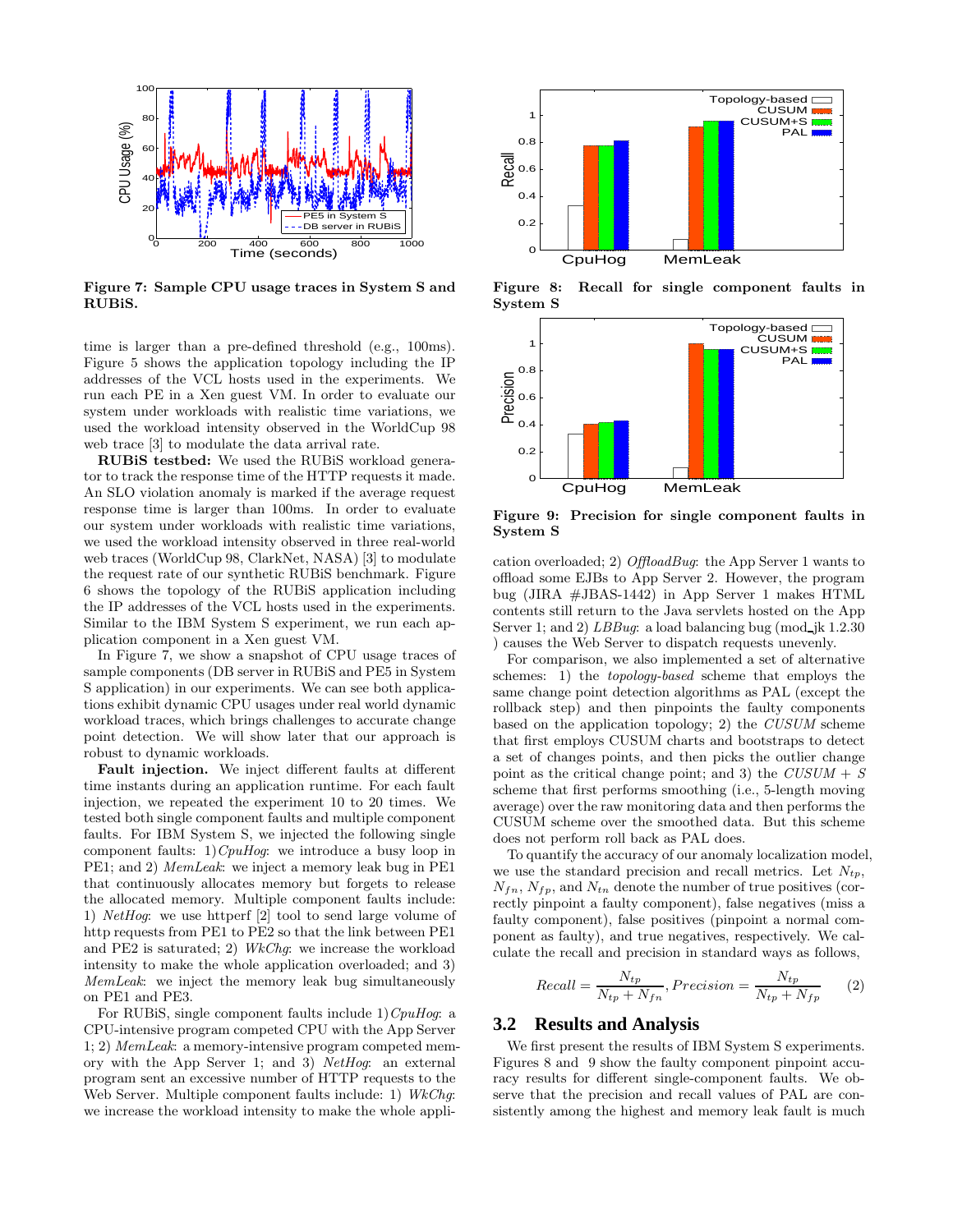

Figure 7: Sample CPU usage traces in System S and RUBiS.

time is larger than a pre-defined threshold (e.g., 100ms). Figure 5 shows the application topology including the IP addresses of the VCL hosts used in the experiments. We run each PE in a Xen guest VM. In order to evaluate our system under workloads with realistic time variations, we used the workload intensity observed in the WorldCup 98 web trace [3] to modulate the data arrival rate.

RUBiS testbed: We used the RUBiS workload generator to track the response time of the HTTP requests it made. An SLO violation anomaly is marked if the average request response time is larger than 100ms. In order to evaluate our system under workloads with realistic time variations, we used the workload intensity observed in three real-world web traces (WorldCup 98, ClarkNet, NASA) [3] to modulate the request rate of our synthetic RUBiS benchmark. Figure 6 shows the topology of the RUBiS application including the IP addresses of the VCL hosts used in the experiments. Similar to the IBM System S experiment, we run each application component in a Xen guest VM.

In Figure 7, we show a snapshot of CPU usage traces of sample components (DB server in RUBiS and PE5 in System S application) in our experiments. We can see both applications exhibit dynamic CPU usages under real world dynamic workload traces, which brings challenges to accurate change point detection. We will show later that our approach is robust to dynamic workloads.

Fault injection. We inject different faults at different time instants during an application runtime. For each fault injection, we repeated the experiment 10 to 20 times. We tested both single component faults and multiple component faults. For IBM System S, we injected the following single component faults: 1)*CpuHog*: we introduce a busy loop in PE1; and 2) *MemLeak*: we inject a memory leak bug in PE1 that continuously allocates memory but forgets to release the allocated memory. Multiple component faults include: 1) *NetHog*: we use httperf [2] tool to send large volume of http requests from PE1 to PE2 so that the link between PE1 and PE2 is saturated; 2) *WkChg*: we increase the workload intensity to make the whole application overloaded; and 3) *MemLeak*: we inject the memory leak bug simultaneously on PE1 and PE3.

For RUBiS, single component faults include 1)*CpuHog*: a CPU-intensive program competed CPU with the App Server 1; 2) *MemLeak*: a memory-intensive program competed memory with the App Server 1; and 3) *NetHog*: an external program sent an excessive number of HTTP requests to the Web Server. Multiple component faults include: 1) *WkChg*: we increase the workload intensity to make the whole appli-



Figure 8: Recall for single component faults in System S



Figure 9: Precision for single component faults in System S

cation overloaded; 2) *OffloadBug*: the App Server 1 wants to offload some EJBs to App Server 2. However, the program bug (JIRA #JBAS-1442) in App Server 1 makes HTML contents still return to the Java servlets hosted on the App Server 1; and 2) *LBBug*: a load balancing bug (mod jk 1.2.30) ) causes the Web Server to dispatch requests unevenly.

For comparison, we also implemented a set of alternative schemes: 1) the *topology-based* scheme that employs the same change point detection algorithms as PAL (except the rollback step) and then pinpoints the faulty components based on the application topology; 2) the *CUSUM* scheme that first employs CUSUM charts and bootstraps to detect a set of changes points, and then picks the outlier change point as the critical change point; and 3) the *CUSUM* + *S* scheme that first performs smoothing (i.e., 5-length moving average) over the raw monitoring data and then performs the CUSUM scheme over the smoothed data. But this scheme does not perform roll back as PAL does.

To quantify the accuracy of our anomaly localization model, we use the standard precision and recall metrics. Let  $N_{tp}$ ,  $N_{fn}$ ,  $N_{fp}$ , and  $N_{tn}$  denote the number of true positives (correctly pinpoint a faulty component), false negatives (miss a faulty component), false positives (pinpoint a normal component as faulty), and true negatives, respectively. We calculate the recall and precision in standard ways as follows,

$$
Recall = \frac{N_{tp}}{N_{tp} + N_{fn}}, Precision = \frac{N_{tp}}{N_{tp} + N_{fp}} \tag{2}
$$

## **3.2 Results and Analysis**

We first present the results of IBM System S experiments. Figures 8 and 9 show the faulty component pinpoint accuracy results for different single-component faults. We observe that the precision and recall values of PAL are consistently among the highest and memory leak fault is much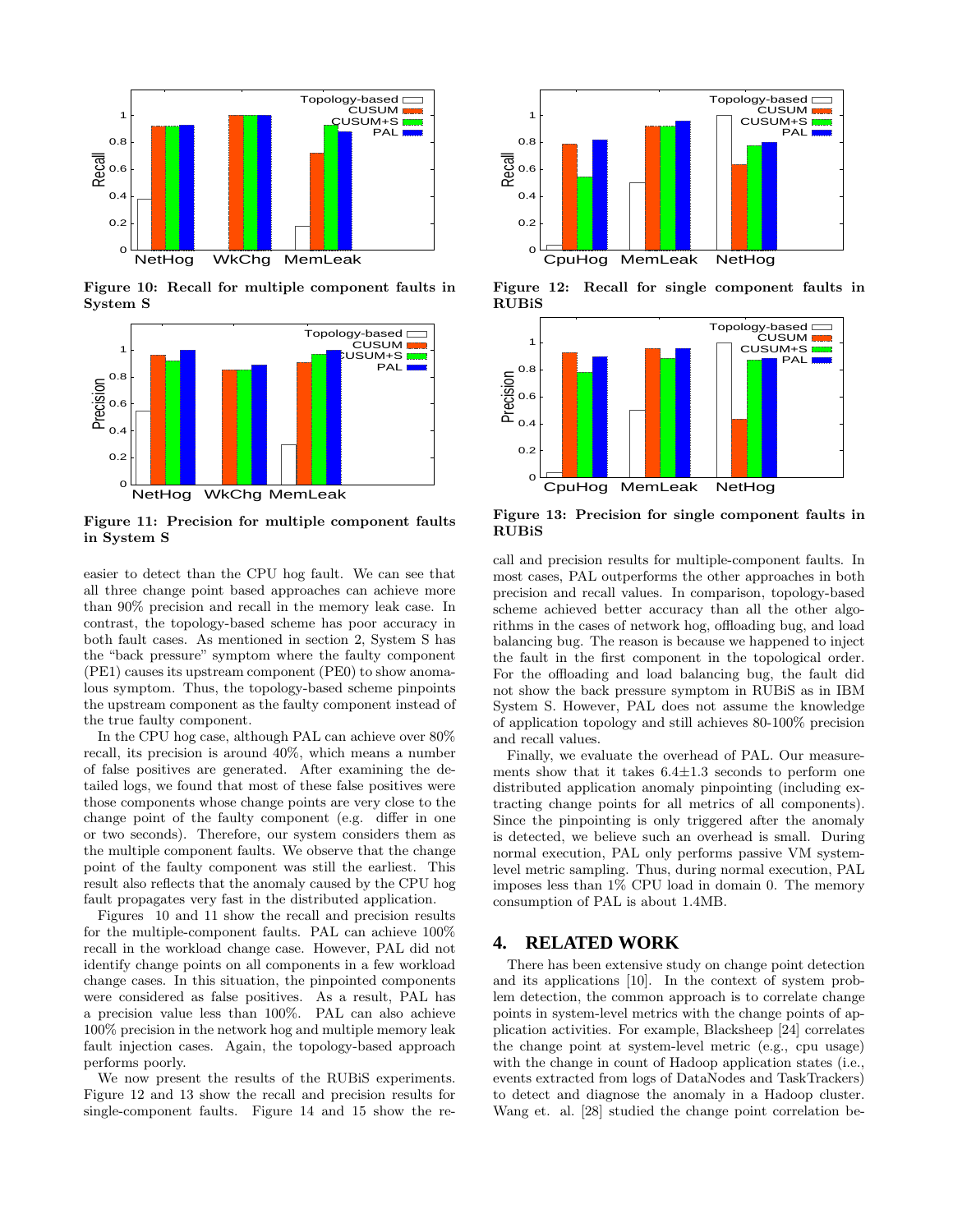

Figure 10: Recall for multiple component faults in System S



Figure 11: Precision for multiple component faults in System S

easier to detect than the CPU hog fault. We can see that all three change point based approaches can achieve more than 90% precision and recall in the memory leak case. In contrast, the topology-based scheme has poor accuracy in both fault cases. As mentioned in section 2, System S has the "back pressure" symptom where the faulty component (PE1) causes its upstream component (PE0) to show anomalous symptom. Thus, the topology-based scheme pinpoints the upstream component as the faulty component instead of the true faulty component.

In the CPU hog case, although PAL can achieve over 80% recall, its precision is around 40%, which means a number of false positives are generated. After examining the detailed logs, we found that most of these false positives were those components whose change points are very close to the change point of the faulty component (e.g. differ in one or two seconds). Therefore, our system considers them as the multiple component faults. We observe that the change point of the faulty component was still the earliest. This result also reflects that the anomaly caused by the CPU hog fault propagates very fast in the distributed application.

Figures 10 and 11 show the recall and precision results for the multiple-component faults. PAL can achieve 100% recall in the workload change case. However, PAL did not identify change points on all components in a few workload change cases. In this situation, the pinpointed components were considered as false positives. As a result, PAL has a precision value less than 100%. PAL can also achieve 100% precision in the network hog and multiple memory leak fault injection cases. Again, the topology-based approach performs poorly.

We now present the results of the RUBiS experiments. Figure 12 and 13 show the recall and precision results for single-component faults. Figure 14 and 15 show the re-



Figure 12: Recall for single component faults in RUBiS



Figure 13: Precision for single component faults in RUBiS

call and precision results for multiple-component faults. In most cases, PAL outperforms the other approaches in both precision and recall values. In comparison, topology-based scheme achieved better accuracy than all the other algorithms in the cases of network hog, offloading bug, and load balancing bug. The reason is because we happened to inject the fault in the first component in the topological order. For the offloading and load balancing bug, the fault did not show the back pressure symptom in RUBiS as in IBM System S. However, PAL does not assume the knowledge of application topology and still achieves 80-100% precision and recall values.

Finally, we evaluate the overhead of PAL. Our measurements show that it takes  $6.4 \pm 1.3$  seconds to perform one distributed application anomaly pinpointing (including extracting change points for all metrics of all components). Since the pinpointing is only triggered after the anomaly is detected, we believe such an overhead is small. During normal execution, PAL only performs passive VM systemlevel metric sampling. Thus, during normal execution, PAL imposes less than 1% CPU load in domain 0. The memory consumption of PAL is about 1.4MB.

## **4. RELATED WORK**

There has been extensive study on change point detection and its applications [10]. In the context of system problem detection, the common approach is to correlate change points in system-level metrics with the change points of application activities. For example, Blacksheep [24] correlates the change point at system-level metric (e.g., cpu usage) with the change in count of Hadoop application states (i.e., events extracted from logs of DataNodes and TaskTrackers) to detect and diagnose the anomaly in a Hadoop cluster. Wang et. al. [28] studied the change point correlation be-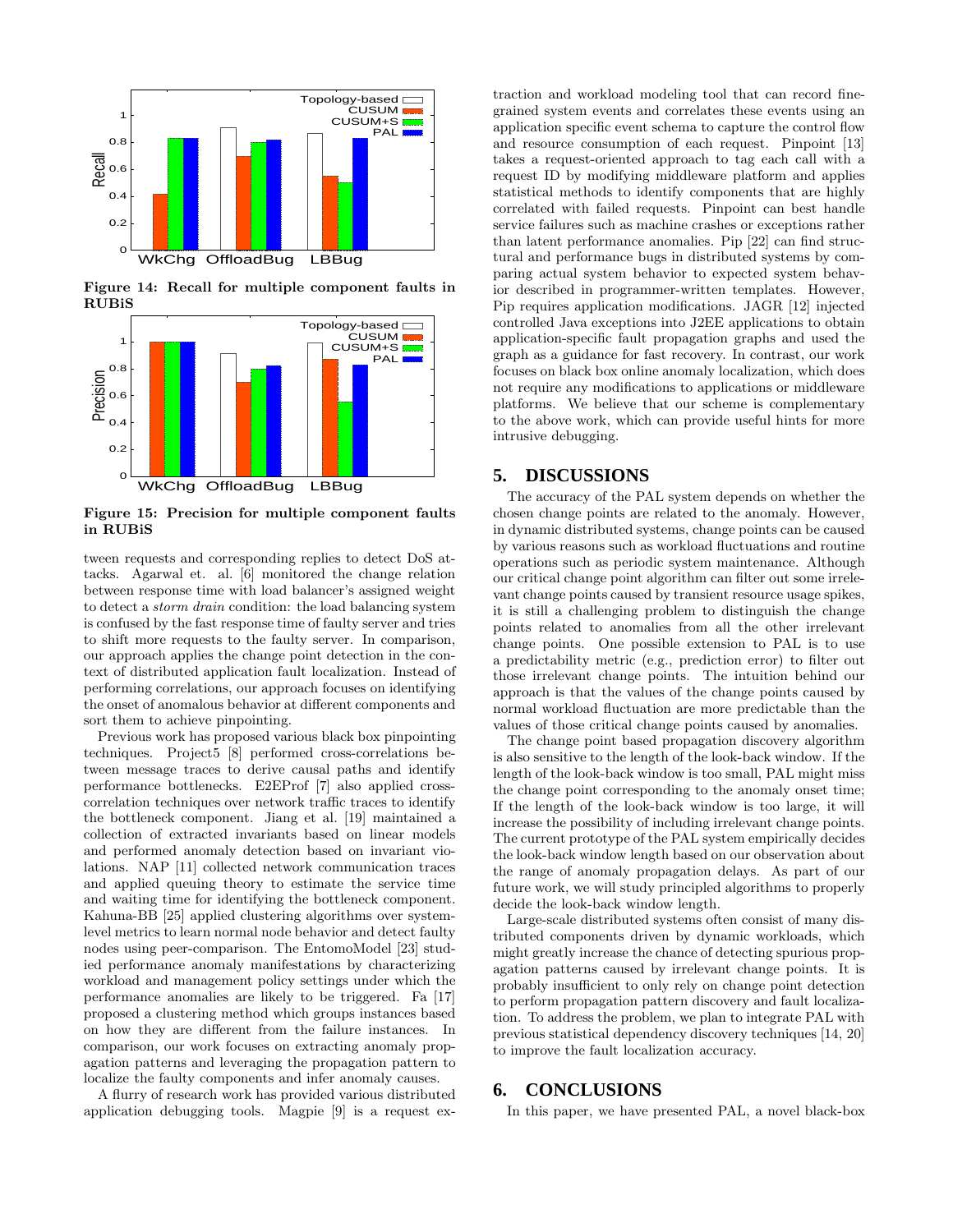

Figure 14: Recall for multiple component faults in RUBiS



Figure 15: Precision for multiple component faults in RUBiS

tween requests and corresponding replies to detect DoS attacks. Agarwal et. al. [6] monitored the change relation between response time with load balancer's assigned weight to detect a *storm drain* condition: the load balancing system is confused by the fast response time of faulty server and tries to shift more requests to the faulty server. In comparison, our approach applies the change point detection in the context of distributed application fault localization. Instead of performing correlations, our approach focuses on identifying the onset of anomalous behavior at different components and sort them to achieve pinpointing.

Previous work has proposed various black box pinpointing techniques. Project5 [8] performed cross-correlations between message traces to derive causal paths and identify performance bottlenecks. E2EProf [7] also applied crosscorrelation techniques over network traffic traces to identify the bottleneck component. Jiang et al. [19] maintained a collection of extracted invariants based on linear models and performed anomaly detection based on invariant violations. NAP [11] collected network communication traces and applied queuing theory to estimate the service time and waiting time for identifying the bottleneck component. Kahuna-BB [25] applied clustering algorithms over systemlevel metrics to learn normal node behavior and detect faulty nodes using peer-comparison. The EntomoModel [23] studied performance anomaly manifestations by characterizing workload and management policy settings under which the performance anomalies are likely to be triggered. Fa [17] proposed a clustering method which groups instances based on how they are different from the failure instances. In comparison, our work focuses on extracting anomaly propagation patterns and leveraging the propagation pattern to localize the faulty components and infer anomaly causes.

A flurry of research work has provided various distributed application debugging tools. Magpie [9] is a request extraction and workload modeling tool that can record finegrained system events and correlates these events using an application specific event schema to capture the control flow and resource consumption of each request. Pinpoint [13] takes a request-oriented approach to tag each call with a request ID by modifying middleware platform and applies statistical methods to identify components that are highly correlated with failed requests. Pinpoint can best handle service failures such as machine crashes or exceptions rather than latent performance anomalies. Pip [22] can find structural and performance bugs in distributed systems by comparing actual system behavior to expected system behavior described in programmer-written templates. However, Pip requires application modifications. JAGR [12] injected controlled Java exceptions into J2EE applications to obtain application-specific fault propagation graphs and used the graph as a guidance for fast recovery. In contrast, our work focuses on black box online anomaly localization, which does not require any modifications to applications or middleware platforms. We believe that our scheme is complementary to the above work, which can provide useful hints for more intrusive debugging.

## **5. DISCUSSIONS**

The accuracy of the PAL system depends on whether the chosen change points are related to the anomaly. However, in dynamic distributed systems, change points can be caused by various reasons such as workload fluctuations and routine operations such as periodic system maintenance. Although our critical change point algorithm can filter out some irrelevant change points caused by transient resource usage spikes, it is still a challenging problem to distinguish the change points related to anomalies from all the other irrelevant change points. One possible extension to PAL is to use a predictability metric (e.g., prediction error) to filter out those irrelevant change points. The intuition behind our approach is that the values of the change points caused by normal workload fluctuation are more predictable than the values of those critical change points caused by anomalies.

The change point based propagation discovery algorithm is also sensitive to the length of the look-back window. If the length of the look-back window is too small, PAL might miss the change point corresponding to the anomaly onset time; If the length of the look-back window is too large, it will increase the possibility of including irrelevant change points. The current prototype of the PAL system empirically decides the look-back window length based on our observation about the range of anomaly propagation delays. As part of our future work, we will study principled algorithms to properly decide the look-back window length.

Large-scale distributed systems often consist of many distributed components driven by dynamic workloads, which might greatly increase the chance of detecting spurious propagation patterns caused by irrelevant change points. It is probably insufficient to only rely on change point detection to perform propagation pattern discovery and fault localization. To address the problem, we plan to integrate PAL with previous statistical dependency discovery techniques [14, 20] to improve the fault localization accuracy.

# **6. CONCLUSIONS**

In this paper, we have presented PAL, a novel black-box